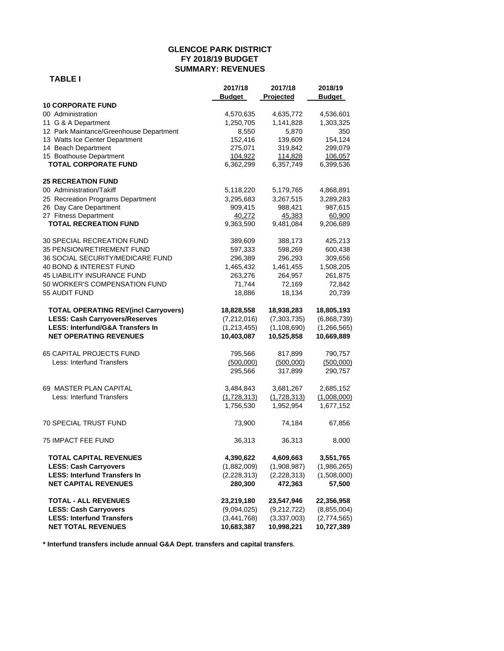#### **GLENCOE PARK DISTRICT FY 2018/19 BUDGET SUMMARY: REVENUES**

|                                             | 2017/18       | 2017/18       | 2018/19       |
|---------------------------------------------|---------------|---------------|---------------|
|                                             | <b>Budget</b> | Projected     | <b>Budget</b> |
| <b>10 CORPORATE FUND</b>                    |               |               |               |
| 00 Administration                           | 4,570,635     | 4,635,772     | 4,536,601     |
| 11 G & A Department                         | 1,250,705     | 1,141,828     | 1,303,325     |
| 12 Park Maintance/Greenhouse Department     | 8,550         | 5,870         | 350           |
| 13 Watts Ice Center Department              | 152,416       | 139,609       | 154,124       |
| 14 Beach Department                         | 275,071       | 319,842       | 299,079       |
| 15 Boathouse Department                     | 104,922       | 114,828       | 106,057       |
| <b>TOTAL CORPORATE FUND</b>                 | 6,362,299     | 6,357,749     | 6,399,536     |
| <b>25 RECREATION FUND</b>                   |               |               |               |
| 00 Administration/Takiff                    | 5,118,220     | 5,179,765     | 4,868,891     |
| 25 Recreation Programs Department           | 3,295,683     | 3,267,515     | 3,289,283     |
| 26 Day Care Department                      | 909,415       | 988,421       | 987,615       |
| 27 Fitness Department                       | 40,272        | 45,383        | 60,900        |
| <b>TOTAL RECREATION FUND</b>                | 9,363,590     | 9,481,084     | 9,206,689     |
| <b>30 SPECIAL RECREATION FUND</b>           | 389,609       | 388,173       | 425,213       |
| 35 PENSION/RETIREMENT FUND                  | 597,333       | 598,269       | 600,438       |
| 36 SOCIAL SECURITY/MEDICARE FUND            | 296,389       | 296,293       | 309,656       |
| 40 BOND & INTEREST FUND                     | 1,465,432     | 1,461,455     | 1,508,205     |
| 45 LIABILITY INSURANCE FUND                 | 263,276       | 264,957       | 261,875       |
| 50 WORKER'S COMPENSATION FUND               | 71,744        | 72,169        | 72,842        |
| 55 AUDIT FUND                               | 18,886        | 18,134        | 20,739        |
| <b>TOTAL OPERATING REV(incl Carryovers)</b> | 18,828,558    | 18,938,283    | 18,805,193    |
| <b>LESS: Cash Carryovers/Reserves</b>       | (7,212,016)   | (7,303,735)   | (6,868,739)   |
| <b>LESS: Interfund/G&amp;A Transfers In</b> | (1, 213, 455) | (1, 108, 690) | (1,266,565)   |
| <b>NET OPERATING REVENUES</b>               | 10,403,087    | 10,525,858    | 10,669,889    |
| 65 CAPITAL PROJECTS FUND                    | 795,566       | 817,899       | 790,757       |
| Less: Interfund Transfers                   | (500,000)     | (500,000)     | (500,000)     |
|                                             | 295,566       | 317,899       | 290,757       |
| 69 MASTER PLAN CAPITAL                      | 3,484,843     | 3,681,267     | 2,685,152     |
| Less: Interfund Transfers                   | (1,728,313)   | (1,728,313)   | (1,008,000)   |
|                                             | 1,756,530     | 1,952,954     | 1,677,152     |
| <b>70 SPECIAL TRUST FUND</b>                | 73,900        | 74,184        | 67,856        |
| <b>75 IMPACT FEE FUND</b>                   | 36,313        | 36,313        | 8,000         |
| <b>TOTAL CAPITAL REVENUES</b>               | 4,390,622     | 4,609,663     | 3,551,765     |
| <b>LESS: Cash Carryovers</b>                | (1,882,009)   | (1,908,987)   | (1,986,265)   |
| <b>LESS: Interfund Transfers In</b>         | (2,228,313)   | (2,228,313)   | (1,508,000)   |
| <b>NET CAPITAL REVENUES</b>                 | 280,300       | 472,363       | 57,500        |
| <b>TOTAL - ALL REVENUES</b>                 | 23,219,180    | 23,547,946    | 22,356,958    |
| <b>LESS: Cash Carryovers</b>                | (9,094,025)   | (9,212,722)   | (8,855,004)   |
| <b>LESS: Interfund Transfers</b>            | (3,441,768)   | (3,337,003)   | (2,774,565)   |
| <b>NET TOTAL REVENUES</b>                   | 10,683,387    | 10,998,221    | 10,727,389    |

**\* Interfund transfers include annual G&A Dept. transfers and capital transfers.**

# **TABLE I**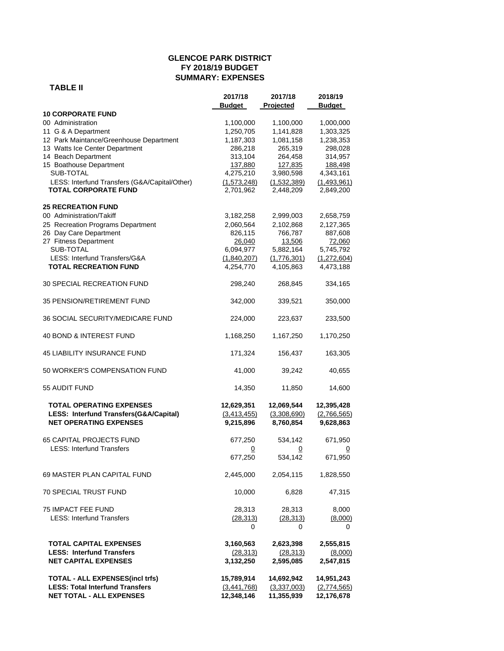#### **GLENCOE PARK DISTRICT FY 2018/19 BUDGET SUMMARY: EXPENSES**

#### **TABLE II**

|                                                                                                            | 2017/18<br><b>Budget</b>                 | 2017/18<br>Projected                   | 2018/19<br><b>Budget</b>               |
|------------------------------------------------------------------------------------------------------------|------------------------------------------|----------------------------------------|----------------------------------------|
| <b>10 CORPORATE FUND</b>                                                                                   |                                          |                                        |                                        |
| 00 Administration                                                                                          | 1,100,000                                | 1,100,000                              | 1,000,000                              |
| 11 G & A Department                                                                                        | 1,250,705                                | 1,141,828                              | 1,303,325                              |
| 12 Park Maintance/Greenhouse Department                                                                    | 1,187,303                                | 1,081,158                              | 1,238,353                              |
| 13 Watts Ice Center Department                                                                             | 286,218                                  | 265,319                                | 298,028                                |
| 14 Beach Department                                                                                        | 313,104                                  | 264,458                                | 314,957                                |
| 15 Boathouse Department                                                                                    | 137,880                                  | 127,835                                | 188,498                                |
| SUB-TOTAL                                                                                                  | 4,275,210                                | 3,980,598                              | 4,343,161                              |
| LESS: Interfund Transfers (G&A/Capital/Other)                                                              | (1, 573, 248)                            | (1,532,389)                            | (1,493,961)                            |
| <b>TOTAL CORPORATE FUND</b>                                                                                | 2,701,962                                | 2,448,209                              | 2,849,200                              |
| <b>25 RECREATION FUND</b>                                                                                  |                                          |                                        |                                        |
| 00 Administration/Takiff                                                                                   | 3,182,258                                | 2,999,003                              | 2,658,759                              |
| 25 Recreation Programs Department                                                                          | 2,060,564                                | 2,102,868                              | 2,127,365                              |
| 26 Day Care Department                                                                                     | 826,115                                  | 766,787                                | 887,608                                |
| 27 Fitness Department                                                                                      | 26,040                                   | 13,506                                 | 72,060                                 |
| SUB-TOTAL                                                                                                  | 6,094,977                                | 5,882,164                              | 5,745,792                              |
| LESS: Interfund Transfers/G&A                                                                              | (1,840,207)                              | (1,776,301)                            | (1,272,604)                            |
| <b>TOTAL RECREATION FUND</b>                                                                               | 4,254,770                                | 4,105,863                              | 4,473,188                              |
| <b>30 SPECIAL RECREATION FUND</b>                                                                          | 298,240                                  | 268,845                                | 334,165                                |
| <b>35 PENSION/RETIREMENT FUND</b>                                                                          | 342,000                                  | 339,521                                | 350,000                                |
| <b>36 SOCIAL SECURITY/MEDICARE FUND</b>                                                                    | 224,000                                  | 223,637                                | 233,500                                |
| 40 BOND & INTEREST FUND                                                                                    | 1,168,250                                | 1,167,250                              | 1,170,250                              |
| <b>45 LIABILITY INSURANCE FUND</b>                                                                         | 171,324                                  | 156,437                                | 163,305                                |
| 50 WORKER'S COMPENSATION FUND                                                                              | 41,000                                   | 39,242                                 | 40,655                                 |
| 55 AUDIT FUND                                                                                              | 14,350                                   | 11,850                                 | 14,600                                 |
| <b>TOTAL OPERATING EXPENSES</b><br>LESS: Interfund Transfers(G&A/Capital)<br><b>NET OPERATING EXPENSES</b> | 12,629,351<br>(3, 413, 455)<br>9,215,896 | 12,069,544<br>(3,308,690)<br>8,760,854 | 12,395,428<br>(2,766,565)<br>9,628,863 |
| <b>65 CAPITAL PROJECTS FUND</b>                                                                            | 677,250                                  | 534,142                                | 671,950                                |
| <b>LESS: Interfund Transfers</b>                                                                           | 0                                        | 0                                      | $\overline{0}$                         |
|                                                                                                            | 677,250                                  | 534,142                                | 671,950                                |
| 69 MASTER PLAN CAPITAL FUND                                                                                | 2,445,000                                | 2,054,115                              | 1,828,550                              |
| 70 SPECIAL TRUST FUND                                                                                      | 10,000                                   | 6,828                                  | 47,315                                 |
| <b>75 IMPACT FEE FUND</b>                                                                                  | 28,313                                   | 28,313                                 | 8,000                                  |
| <b>LESS: Interfund Transfers</b>                                                                           | (28, 313)                                | (28, 313)                              | (8,000)                                |
|                                                                                                            | 0                                        | 0                                      | 0                                      |
| <b>TOTAL CAPITAL EXPENSES</b>                                                                              | 3,160,563                                | 2,623,398                              | 2,555,815                              |
| <b>LESS: Interfund Transfers</b>                                                                           | (28, 313)                                | (28, 313)                              | (8,000)                                |
| <b>NET CAPITAL EXPENSES</b>                                                                                | 3,132,250                                | 2,595,085                              | 2,547,815                              |
| <b>TOTAL - ALL EXPENSES(incl trfs)</b>                                                                     | 15,789,914                               | 14,692,942                             | 14,951,243                             |
| <b>LESS: Total Interfund Transfers</b>                                                                     | (3,441,768)                              | (3,337,003)                            | (2,774,565)                            |
| <b>NET TOTAL - ALL EXPENSES</b>                                                                            | 12,348,146                               | 11,355,939                             | 12,176,678                             |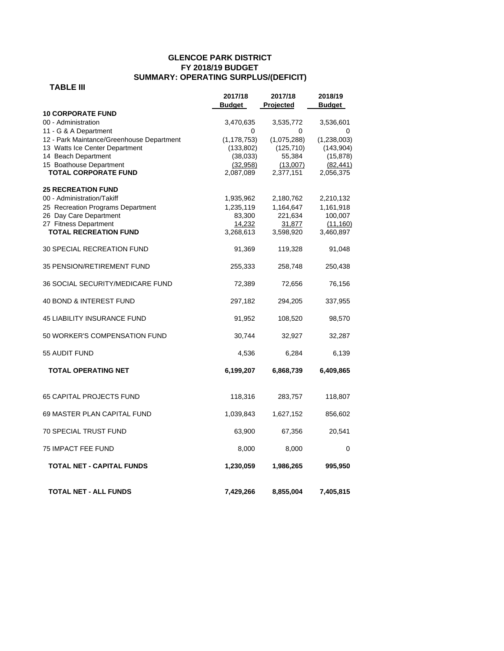# **GLENCOE PARK DISTRICT FY 2018/19 BUDGET SUMMARY: OPERATING SURPLUS/(DEFICIT)**

# **TABLE III**

|                                           | 2017/18<br><b>Budget</b> | 2017/18<br>Projected | 2018/19<br>Budget |
|-------------------------------------------|--------------------------|----------------------|-------------------|
| <b>10 CORPORATE FUND</b>                  |                          |                      |                   |
| 00 - Administration                       | 3,470,635                | 3,535,772            | 3,536,601         |
| 11 - G & A Department                     | 0                        | 0                    | 0                 |
| 12 - Park Maintance/Greenhouse Department | (1, 178, 753)            | (1,075,288)          | (1,238,003)       |
| 13 Watts Ice Center Department            | (133, 802)               | (125, 710)           | (143, 904)        |
| 14 Beach Department                       | (38,033)                 | 55,384               | (15, 878)         |
| 15 Boathouse Department                   | (32,958)                 | (13,007)             | (82, 441)         |
| <b>TOTAL CORPORATE FUND</b>               | 2,087,089                | 2,377,151            | 2,056,375         |
| <b>25 RECREATION FUND</b>                 |                          |                      |                   |
| 00 - Administration/Takiff                | 1,935,962                | 2,180,762            | 2,210,132         |
| 25 Recreation Programs Department         | 1,235,119                | 1,164,647            | 1,161,918         |
| 26 Day Care Department                    | 83,300                   | 221,634              | 100,007           |
| 27 Fitness Department                     | 14,232                   | 31,877               | (11, 160)         |
| <b>TOTAL RECREATION FUND</b>              | 3,268,613                | 3,598,920            | 3,460,897         |
| <b>30 SPECIAL RECREATION FUND</b>         | 91,369                   | 119,328              | 91,048            |
| 35 PENSION/RETIREMENT FUND                | 255,333                  | 258,748              | 250,438           |
| 36 SOCIAL SECURITY/MEDICARE FUND          | 72,389                   | 72,656               | 76,156            |
| 40 BOND & INTEREST FUND                   | 297,182                  | 294,205              | 337,955           |
| <b>45 LIABILITY INSURANCE FUND</b>        | 91,952                   | 108,520              | 98,570            |
| 50 WORKER'S COMPENSATION FUND             | 30,744                   | 32,927               | 32,287            |
| 55 AUDIT FUND                             | 4,536                    | 6,284                | 6,139             |
| <b>TOTAL OPERATING NET</b>                | 6,199,207                | 6,868,739            | 6,409,865         |
| 65 CAPITAL PROJECTS FUND                  | 118,316                  | 283,757              | 118,807           |
| 69 MASTER PLAN CAPITAL FUND               | 1,039,843                | 1,627,152            | 856,602           |
| 70 SPECIAL TRUST FUND                     | 63,900                   | 67,356               | 20,541            |
| <b>75 IMPACT FEE FUND</b>                 | 8,000                    | 8,000                | 0                 |
| TOTAL NET - CAPITAL FUNDS                 | 1,230,059                | 1,986,265            | 995,950           |
| <b>TOTAL NET - ALL FUNDS</b>              | 7,429,266                | 8,855,004            | 7,405,815         |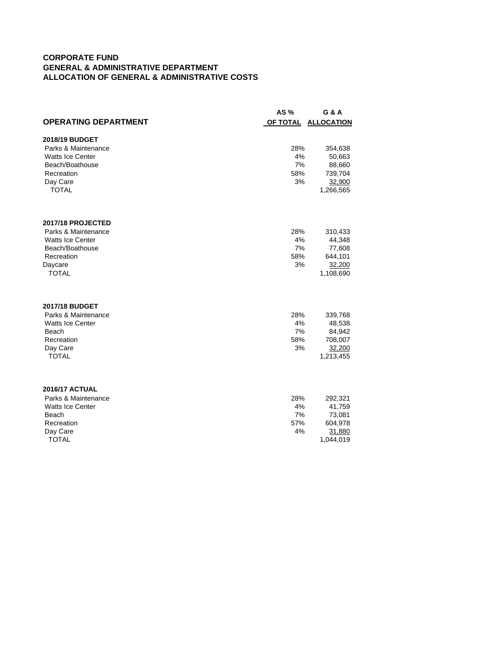#### **CORPORATE FUND GENERAL & ADMINISTRATIVE DEPARTMENT ALLOCATION OF GENERAL & ADMINISTRATIVE COSTS**

|                             | AS%             | <b>G &amp; A</b>  |
|-----------------------------|-----------------|-------------------|
| <b>OPERATING DEPARTMENT</b> | <b>OF TOTAL</b> | <b>ALLOCATION</b> |
| 2018/19 BUDGET              |                 |                   |
| Parks & Maintenance         | 28%             | 354,638           |
| <b>Watts Ice Center</b>     | 4%              | 50,663            |
| Beach/Boathouse             | 7%              | 88,660            |
| Recreation                  | 58%             | 739,704           |
| Day Care                    | 3%              | 32,900            |
| <b>TOTAL</b>                |                 | 1,266,565         |
| 2017/18 PROJECTED           |                 |                   |
| Parks & Maintenance         | 28%             | 310,433           |
| <b>Watts Ice Center</b>     | 4%              | 44,348            |
| Beach/Boathouse             | 7%              | 77,608            |
| Recreation                  | 58%             | 644,101           |
| Daycare<br><b>TOTAL</b>     | 3%              | 32,200            |
|                             |                 | 1,108,690         |
| <b>2017/18 BUDGET</b>       |                 |                   |
| Parks & Maintenance         | 28%             | 339,768           |
| <b>Watts Ice Center</b>     | 4%              | 48,538            |
| Beach<br>Recreation         | 7%<br>58%       | 84,942            |
| Day Care                    | 3%              | 708,007<br>32,200 |
| <b>TOTAL</b>                |                 | 1,213,455         |
|                             |                 |                   |
| <b>2016/17 ACTUAL</b>       |                 |                   |
| Parks & Maintenance         | 28%             | 292,321           |
| <b>Watts Ice Center</b>     | 4%              | 41,759            |
| Beach                       | 7%              | 73,081            |
| Recreation                  | 57%             | 604,978           |
| Day Care                    | 4%              | 31,880            |
| <b>TOTAL</b>                |                 | 1,044,019         |
|                             |                 |                   |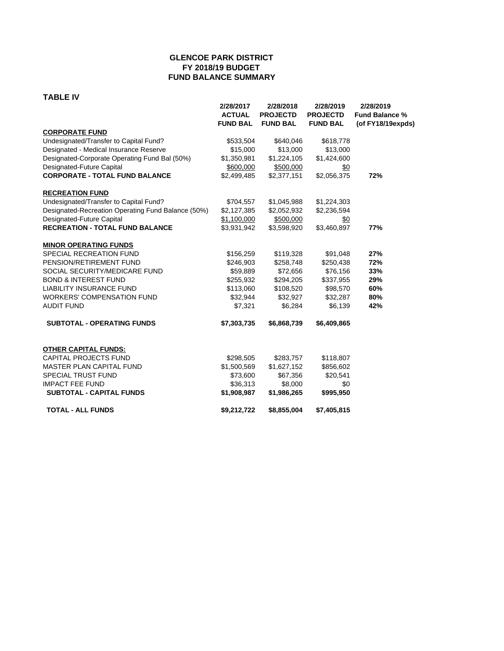# **GLENCOE PARK DISTRICT FY 2018/19 BUDGET FUND BALANCE SUMMARY**

**TABLE IV**

| TABLE IV                                           |                                               |                                                 |                                                 |                                                         |
|----------------------------------------------------|-----------------------------------------------|-------------------------------------------------|-------------------------------------------------|---------------------------------------------------------|
|                                                    | 2/28/2017<br><b>ACTUAL</b><br><b>FUND BAL</b> | 2/28/2018<br><b>PROJECTD</b><br><b>FUND BAL</b> | 2/28/2019<br><b>PROJECTD</b><br><b>FUND BAL</b> | 2/28/2019<br><b>Fund Balance %</b><br>(of FY18/19expds) |
| <b>CORPORATE FUND</b>                              |                                               |                                                 |                                                 |                                                         |
| Undesignated/Transfer to Capital Fund?             | \$533,504                                     | \$640,046                                       | \$618,778                                       |                                                         |
| Designated - Medical Insurance Reserve             | \$15,000                                      | \$13,000                                        | \$13,000                                        |                                                         |
| Designated-Corporate Operating Fund Bal (50%)      | \$1,350,981                                   | \$1,224,105                                     | \$1,424,600                                     |                                                         |
| Designated-Future Capital                          | \$600,000                                     | \$500,000                                       | \$0                                             |                                                         |
| <b>CORPORATE - TOTAL FUND BALANCE</b>              | \$2,499,485                                   | \$2,377,151                                     | \$2,056,375                                     | 72%                                                     |
| <b>RECREATION FUND</b>                             |                                               |                                                 |                                                 |                                                         |
| Undesignated/Transfer to Capital Fund?             | \$704,557                                     | \$1,045,988                                     | \$1,224,303                                     |                                                         |
| Designated-Recreation Operating Fund Balance (50%) | \$2,127,385                                   | \$2,052,932                                     | \$2,236,594                                     |                                                         |
| Designated-Future Capital                          | \$1,100,000                                   | \$500,000                                       | \$0                                             |                                                         |
| <b>RECREATION - TOTAL FUND BALANCE</b>             | \$3,931,942                                   | \$3,598,920                                     | \$3,460,897                                     | 77%                                                     |
| <b>MINOR OPERATING FUNDS</b>                       |                                               |                                                 |                                                 |                                                         |
| SPECIAL RECREATION FUND                            | \$156,259                                     | \$119,328                                       | \$91,048                                        | 27%                                                     |
| PENSION/RETIREMENT FUND                            | \$246,903                                     | \$258,748                                       | \$250,438                                       | 72%                                                     |
| SOCIAL SECURITY/MEDICARE FUND                      | \$59,889                                      | \$72,656                                        | \$76,156                                        | 33%                                                     |
| <b>BOND &amp; INTEREST FUND</b>                    | \$255,932                                     | \$294,205                                       | \$337,955                                       | 29%                                                     |
| <b>LIABILITY INSURANCE FUND</b>                    | \$113,060                                     | \$108,520                                       | \$98,570                                        | 60%                                                     |
| <b>WORKERS' COMPENSATION FUND</b>                  | \$32,944                                      | \$32,927                                        | \$32,287                                        | 80%                                                     |
| <b>AUDIT FUND</b>                                  | \$7,321                                       | \$6,284                                         | \$6,139                                         | 42%                                                     |
| <b>SUBTOTAL - OPERATING FUNDS</b>                  | \$7,303,735                                   | \$6,868,739                                     | \$6,409,865                                     |                                                         |
| <b>OTHER CAPITAL FUNDS:</b>                        |                                               |                                                 |                                                 |                                                         |
| <b>CAPITAL PROJECTS FUND</b>                       | \$298,505                                     | \$283,757                                       | \$118,807                                       |                                                         |
| MASTER PLAN CAPITAL FUND                           | \$1,500,569                                   | \$1,627,152                                     | \$856,602                                       |                                                         |
| SPECIAL TRUST FUND                                 | \$73,600                                      | \$67,356                                        | \$20,541                                        |                                                         |
| <b>IMPACT FEE FUND</b>                             | \$36,313                                      | \$8,000                                         | \$0                                             |                                                         |
| <b>SUBTOTAL - CAPITAL FUNDS</b>                    | \$1,908,987                                   | \$1,986,265                                     | \$995,950                                       |                                                         |
| <b>TOTAL - ALL FUNDS</b>                           | \$9,212,722                                   | \$8,855,004                                     | \$7,405,815                                     |                                                         |